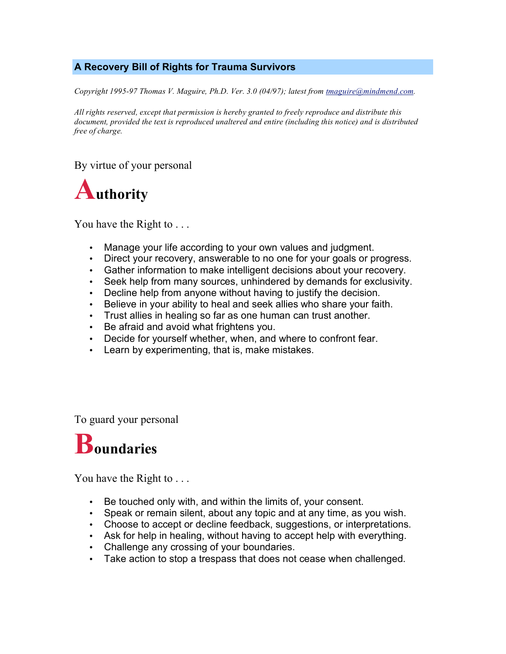## **A Recovery Bill of Rights for Trauma Survivors**

*Copyright 1995-97 Thomas V. Maguire, Ph.D. Ver. 3.0 (04/97); latest from tmaguire@mindmend.com.*

*All rights reserved, except that permission is hereby granted to freely reproduce and distribute this document, provided the text is reproduced unaltered and entire (including this notice) and is distributed free of charge.*

By virtue of your personal



You have the Right to ...

- Manage your life according to your own values and judgment.
- Direct your recovery, answerable to no one for your goals or progress.
- Gather information to make intelligent decisions about your recovery.
- Seek help from many sources, unhindered by demands for exclusivity.
- Decline help from anyone without having to justify the decision.
- Believe in your ability to heal and seek allies who share your faith.
- Trust allies in healing so far as one human can trust another.
- Be afraid and avoid what frightens you.
- Decide for yourself whether, when, and where to confront fear.
- Learn by experimenting, that is, make mistakes.

To guard your personal

## **Boundaries**

You have the Right to . . .

- Be touched only with, and within the limits of, your consent.
- Speak or remain silent, about any topic and at any time, as you wish.
- Choose to accept or decline feedback, suggestions, or interpretations.
- Ask for help in healing, without having to accept help with everything.
- Challenge any crossing of your boundaries.
- Take action to stop a trespass that does not cease when challenged.